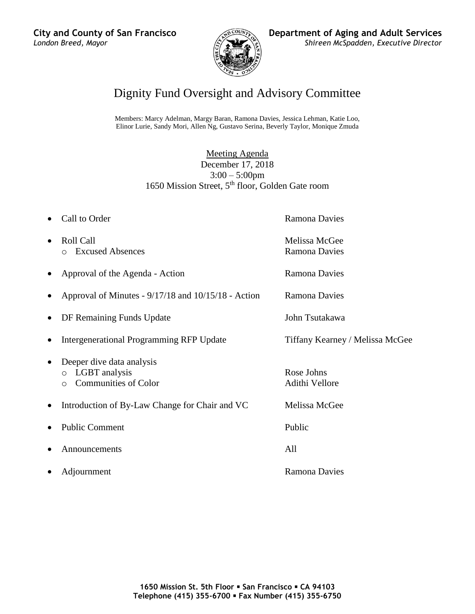

# Dignity Fund Oversight and Advisory Committee

Members: Marcy Adelman, Margy Baran, Ramona Davies, Jessica Lehman, Katie Loo, Elinor Lurie, Sandy Mori, Allen Ng, Gustavo Serina, Beverly Taylor, Monique Zmuda

> Meeting Agenda December 17, 2018  $3:00 - 5:00$ pm 1650 Mission Street,  $5<sup>th</sup>$  floor, Golden Gate room

- Call to Order **Ramona Davies**
- Roll Call **Melissa McGee** o Excused Absences Ramona Davies
- Approval of the Agenda Action Ramona Davies
- Approval of Minutes 9/17/18 and 10/15/18 Action Ramona Davies
- DF Remaining Funds Update John Tsutakawa
- Intergenerational Programming RFP Update Tiffany Kearney / Melissa McGee
- Deeper dive data analysis
	- o LGBT analysis Rose Johns
	- o Communities of Color Adithi Vellore
- Introduction of By-Law Change for Chair and VC Melissa McGee
- Public Comment Public Public Public Public Public Public Public Public Public Public Public Public Public Public Public Public Public Public Public Public Public Public Public Public Public Public Public Public Public Pu
- Announcements All
- 

Adjournment Ramona Davies